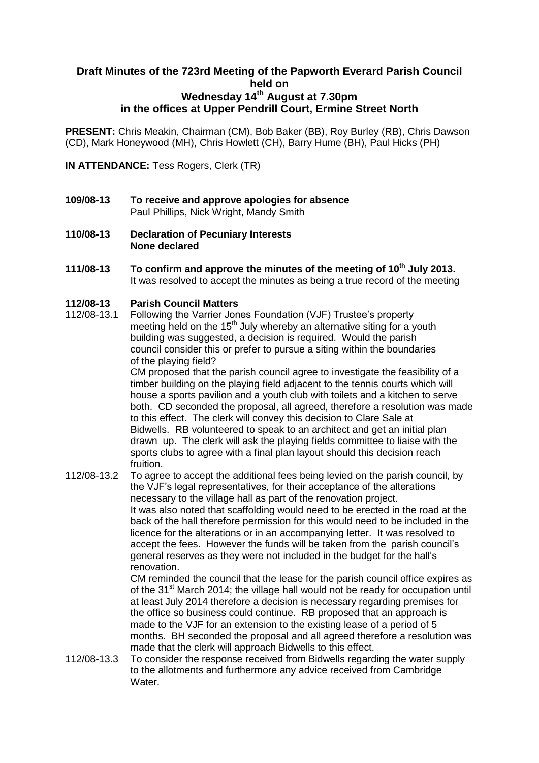## **Draft Minutes of the 723rd Meeting of the Papworth Everard Parish Council held on Wednesday 14th August at 7.30pm in the offices at Upper Pendrill Court, Ermine Street North**

**PRESENT:** Chris Meakin, Chairman (CM), Bob Baker (BB), Roy Burley (RB), Chris Dawson (CD), Mark Honeywood (MH), Chris Howlett (CH), Barry Hume (BH), Paul Hicks (PH)

**IN ATTENDANCE:** Tess Rogers, Clerk (TR)

- **109/08-13 To receive and approve apologies for absence** Paul Phillips, Nick Wright, Mandy Smith
- **110/08-13 Declaration of Pecuniary Interests None declared**
- **111/08-13 To confirm and approve the minutes of the meeting of 10th July 2013.** It was resolved to accept the minutes as being a true record of the meeting

#### **112/08-13 Parish Council Matters**

112/08-13.1 Following the Varrier Jones Foundation (VJF) Trustee's property meeting held on the 15<sup>th</sup> July whereby an alternative siting for a youth building was suggested, a decision is required. Would the parish council consider this or prefer to pursue a siting within the boundaries of the playing field?

CM proposed that the parish council agree to investigate the feasibility of a timber building on the playing field adjacent to the tennis courts which will house a sports pavilion and a youth club with toilets and a kitchen to serve both. CD seconded the proposal, all agreed, therefore a resolution was made to this effect. The clerk will convey this decision to Clare Sale at Bidwells. RB volunteered to speak to an architect and get an initial plan drawn up. The clerk will ask the playing fields committee to liaise with the sports clubs to agree with a final plan layout should this decision reach fruition.

112/08-13.2 To agree to accept the additional fees being levied on the parish council, by the VJF's legal representatives, for their acceptance of the alterations necessary to the village hall as part of the renovation project. It was also noted that scaffolding would need to be erected in the road at the back of the hall therefore permission for this would need to be included in the licence for the alterations or in an accompanying letter. It was resolved to accept the fees. However the funds will be taken from the parish council's general reserves as they were not included in the budget for the hall's renovation.

CM reminded the council that the lease for the parish council office expires as of the 31<sup>st</sup> March 2014; the village hall would not be ready for occupation until at least July 2014 therefore a decision is necessary regarding premises for the office so business could continue. RB proposed that an approach is made to the VJF for an extension to the existing lease of a period of 5 months. BH seconded the proposal and all agreed therefore a resolution was made that the clerk will approach Bidwells to this effect.

112/08-13.3 To consider the response received from Bidwells regarding the water supply to the allotments and furthermore any advice received from Cambridge Water.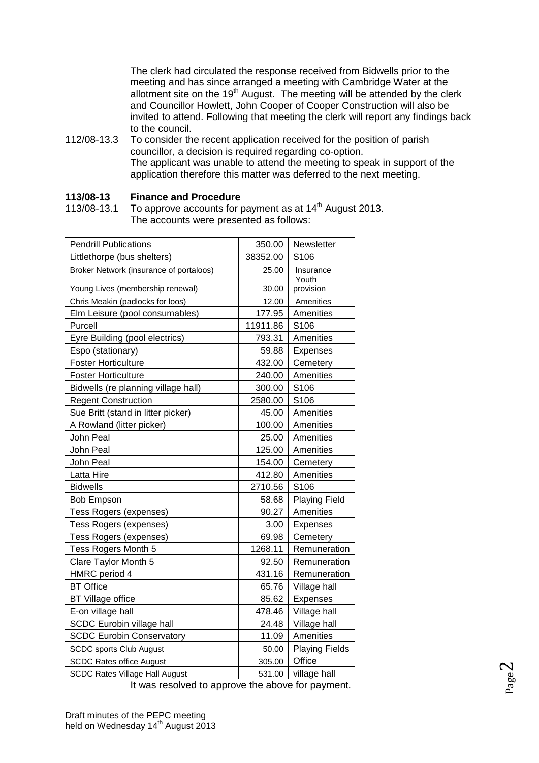The clerk had circulated the response received from Bidwells prior to the meeting and has since arranged a meeting with Cambridge Water at the allotment site on the  $19<sup>th</sup>$  August. The meeting will be attended by the clerk and Councillor Howlett, John Cooper of Cooper Construction will also be invited to attend. Following that meeting the clerk will report any findings back to the council.

112/08-13.3 To consider the recent application received for the position of parish councillor, a decision is required regarding co-option. The applicant was unable to attend the meeting to speak in support of the application therefore this matter was deferred to the next meeting.

### **113/08-13 Finance and Procedure**

113/08-13.1 To approve accounts for payment as at 14<sup>th</sup> August 2013. The accounts were presented as follows:

| <b>Pendrill Publications</b>            | 350.00   | Newsletter            |
|-----------------------------------------|----------|-----------------------|
| Littlethorpe (bus shelters)             | 38352.00 | S106                  |
| Broker Network (insurance of portaloos) | 25.00    | Insurance             |
| Young Lives (membership renewal)        | 30.00    | Youth<br>provision    |
| Chris Meakin (padlocks for loos)        | 12.00    | Amenities             |
| Elm Leisure (pool consumables)          | 177.95   | Amenities             |
| Purcell                                 | 11911.86 | S106                  |
| Eyre Building (pool electrics)          | 793.31   | Amenities             |
| Espo (stationary)                       | 59.88    | Expenses              |
| <b>Foster Horticulture</b>              | 432.00   | Cemetery              |
| <b>Foster Horticulture</b>              | 240.00   | Amenities             |
| Bidwells (re planning village hall)     | 300.00   | S106                  |
| <b>Regent Construction</b>              | 2580.00  | S106                  |
| Sue Britt (stand in litter picker)      | 45.00    | Amenities             |
| A Rowland (litter picker)               | 100.00   | Amenities             |
| John Peal                               | 25.00    | Amenities             |
| John Peal                               | 125.00   | Amenities             |
| John Peal                               | 154.00   | Cemetery              |
| Latta Hire                              | 412.80   | Amenities             |
| <b>Bidwells</b>                         | 2710.56  | S106                  |
| <b>Bob Empson</b>                       | 58.68    | <b>Playing Field</b>  |
| Tess Rogers (expenses)                  | 90.27    | Amenities             |
| Tess Rogers (expenses)                  | 3.00     | Expenses              |
| Tess Rogers (expenses)                  | 69.98    | Cemetery              |
| Tess Rogers Month 5                     | 1268.11  | Remuneration          |
| Clare Taylor Month 5                    | 92.50    | Remuneration          |
| HMRC period 4                           | 431.16   | Remuneration          |
| <b>BT</b> Office                        | 65.76    | Village hall          |
| <b>BT Village office</b>                | 85.62    | Expenses              |
| E-on village hall                       | 478.46   | Village hall          |
| SCDC Eurobin village hall               | 24.48    | Village hall          |
| <b>SCDC Eurobin Conservatory</b>        | 11.09    | Amenities             |
| <b>SCDC sports Club August</b>          | 50.00    | <b>Playing Fields</b> |
| <b>SCDC Rates office August</b>         | 305.00   | Office                |
| <b>SCDC Rates Village Hall August</b>   | 531.00   | village hall          |

It was resolved to approve the above for payment.